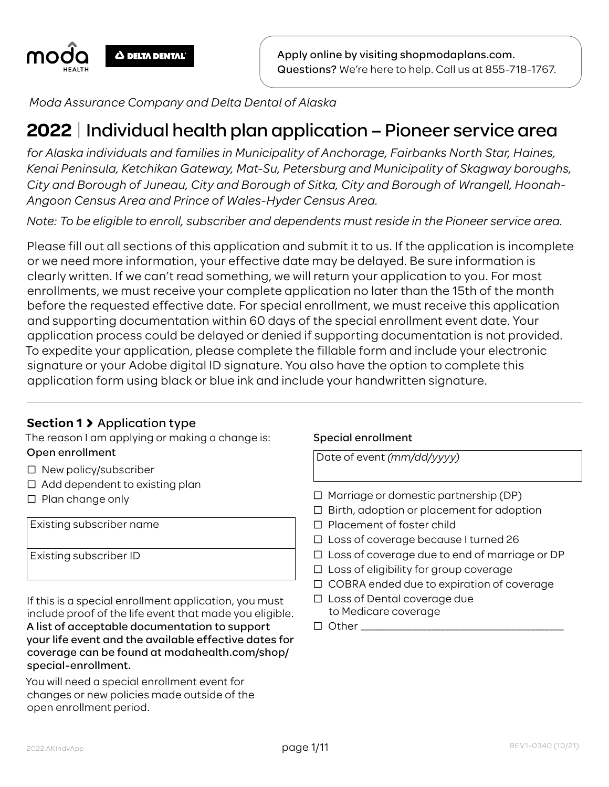

Apply online by visiting shopmodaplans.com. Questions? We're here to help. Call us at 855-718-1767.

*Moda Assurance Company and Delta Dental of Alaska*

# **2022** | Individual health plan application – Pioneer service area

*for Alaska individuals and families in Municipality of Anchorage, Fairbanks North Star, Haines, Kenai Peninsula, Ketchikan Gateway, Mat-Su, Petersburg and Municipality of Skagway boroughs, City and Borough of Juneau, City and Borough of Sitka, City and Borough of Wrangell, Hoonah-Angoon Census Area and Prince of Wales-Hyder Census Area.*

*Note: To be eligible to enroll, subscriber and dependents must reside in the Pioneer service area.*

Please fill out all sections of this application and submit it to us. If the application is incomplete or we need more information, your effective date may be delayed. Be sure information is clearly written. If we can't read something, we will return your application to you. For most enrollments, we must receive your complete application no later than the 15th of the month before the requested effective date. For special enrollment, we must receive this application and supporting documentation within 60 days of the special enrollment event date. Your application process could be delayed or denied if supporting documentation is not provided. To expedite your application, please complete the fillable form and include your electronic signature or your Adobe digital ID signature. You also have the option to complete this application form using black or blue ink and include your handwritten signature.

#### **Section 1** Application type

The reason I am applying or making a change is: Open enrollment

- □ New policy/subscriber
- □ Add dependent to existing plan
- □ Plan change only

Existing subscriber name

Existing subscriber ID

If this is a special enrollment application, you must include proof of the life event that made you eligible. A list of acceptable documentation to support your life event and the available effective dates for coverage can be found at modahealth.com/shop/ special-enrollment.

You will need a special enrollment event for changes or new policies made outside of the open enrollment period.

#### Special enrollment

Date of event *(mm/dd/yyyy)*

- $\Box$  Marriage or domestic partnership (DP)
- $\Box$  Birth, adoption or placement for adoption
- □ Placement of foster child
- Ƨ Loss of coverage because I turned 26
- □ Loss of coverage due to end of marriage or DP
- $\Box$  Loss of eligibility for group coverage
- □ COBRA ended due to expiration of coverage
- □ Loss of Dental coverage due to Medicare coverage
- Ƨ Other \_\_\_\_\_\_\_\_\_\_\_\_\_\_\_\_\_\_\_\_\_\_\_\_\_\_\_\_\_\_\_\_\_\_\_\_\_\_\_\_\_\_\_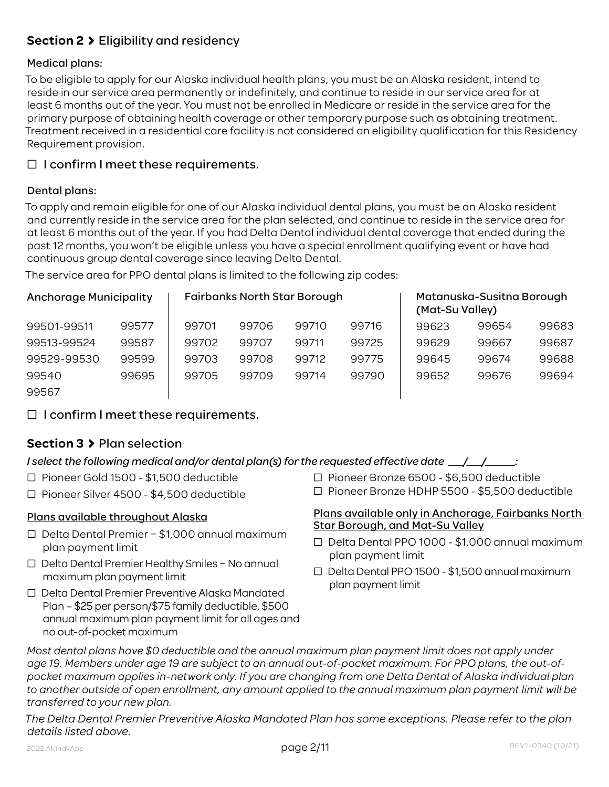# **Section 2** Eligibility and residency

#### Medical plans:

To be eligible to apply for our Alaska individual health plans, you must be an Alaska resident, intend to reside in our service area permanently or indefinitely, and continue to reside in our service area for at least 6 months out of the year. You must not be enrolled in Medicare or reside in the service area for the primary purpose of obtaining health coverage or other temporary purpose such as obtaining treatment. Treatment received in a residential care facility is not considered an eligibility qualification for this Residency Requirement provision.

#### $\Box$  I confirm I meet these requirements.

#### Dental plans:

To apply and remain eligible for one of our Alaska individual dental plans, you must be an Alaska resident and currently reside in the service area for the plan selected, and continue to reside in the service area for at least 6 months out of the year. If you had Delta Dental individual dental coverage that ended during the past 12 months, you won't be eligible unless you have a special enrollment qualifying event or have had continuous group dental coverage since leaving Delta Dental.

The service area for PPO dental plans is limited to the following zip codes:

| <b>Anchorage Municipality</b> |       |       | <b>Fairbanks North Star Borough</b> |       |       | (Mat-Su Valley) | Matanuska-Susitna Borough |       |
|-------------------------------|-------|-------|-------------------------------------|-------|-------|-----------------|---------------------------|-------|
| 99501-99511                   | 99577 | 99701 | 99706                               | 99710 | 99716 | 99623           | 99654                     | 99683 |
| 99513-99524                   | 99587 | 99702 | 99707                               | 99711 | 99725 | 99629           | 99667                     | 99687 |
| 99529-99530                   | 99599 | 99703 | 99708                               | 99712 | 99775 | 99645           | 99674                     | 99688 |
| 99540                         | 99695 | 99705 | 99709                               | 99714 | 99790 | 99652           | 99676                     | 99694 |
| 99567                         |       |       |                                     |       |       |                 |                           |       |

 $\Box$  I confirm I meet these requirements.

# **Section 3** Plan selection

#### *I select the following medical and/or dental plan(s) for the requested effective date \_\_\_/\_\_\_/\_\_\_\_\_\_:*

- Ƨ Pioneer Gold 1500 \$1,500 deductible
- Ƨ Pioneer Silver 4500 \$4,500 deductible

#### Plans available throughout Alaska

- Ƨ Delta Dental Premier \$1,000 annual maximum plan payment limit
- □ Delta Dental Premier Healthy Smiles No annual maximum plan payment limit
- □ Delta Dental Premier Preventive Alaska Mandated Plan – \$25 per person/\$75 family deductible, \$500 annual maximum plan payment limit for all ages and no out-of-pocket maximum
- Ƨ Pioneer Bronze 6500 \$6,500 deductible
- Ƨ Pioneer Bronze HDHP 5500 \$5,500 deductible

#### Plans available only in Anchorage, Fairbanks North Star Borough, and Mat-Su Valley

- Ƨ Delta Dental PPO 1000 \$1,000 annual maximum plan payment limit
- Ƨ Delta Dental PPO 1500 \$1,500 annual maximum plan payment limit

*Most dental plans have \$0 deductible and the annual maximum plan payment limit does not apply under age 19. Members under age 19 are subject to an annual out-of-pocket maximum. For PPO plans, the out-ofpocket maximum applies in-network only. If you are changing from one Delta Dental of Alaska individual plan to another outside of open enrollment, any amount applied to the annual maximum plan payment limit will be transferred to your new plan.*

*The Delta Dental Premier Preventive Alaska Mandated Plan has some exceptions. Please refer to the plan details listed above.*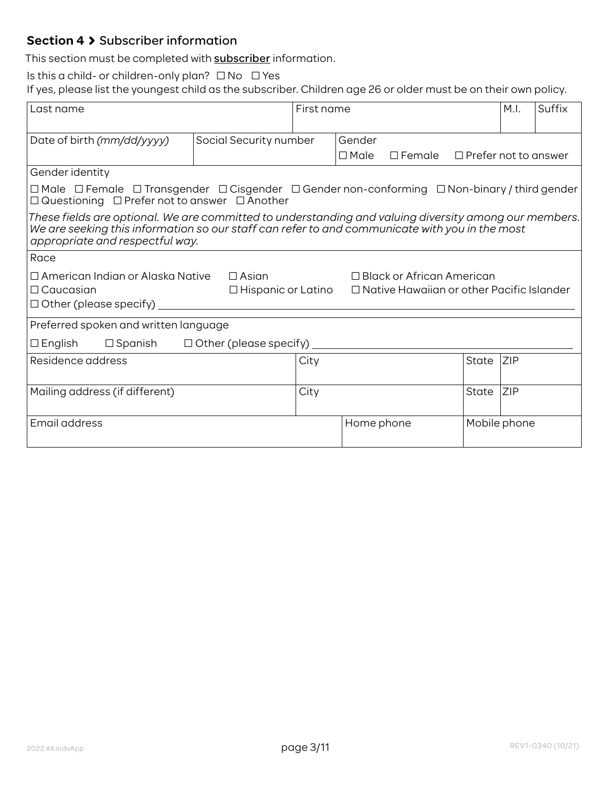# **Section 4 > Subscriber information**

This section must be completed with **subscriber** information.

Is this a child- or children-only plan?  $\Box$  No  $\Box$  Yes

If yes, please list the youngest child as the subscriber. Children age 26 or older must be on their own policy.

| Last name                                                                                                                                                                     |                                                                                                                                                                                                                                            | First name |                                                                                      |  | M.I.         | Suffix     |  |
|-------------------------------------------------------------------------------------------------------------------------------------------------------------------------------|--------------------------------------------------------------------------------------------------------------------------------------------------------------------------------------------------------------------------------------------|------------|--------------------------------------------------------------------------------------|--|--------------|------------|--|
| Date of birth (mm/dd/yyyy)                                                                                                                                                    | Social Security number                                                                                                                                                                                                                     |            | Gender<br>$\Box$ Male<br>$\Box$ Female $\Box$ Prefer not to answer                   |  |              |            |  |
| Gender identity                                                                                                                                                               |                                                                                                                                                                                                                                            |            |                                                                                      |  |              |            |  |
| $\Box$ Male $\Box$ Female $\Box$ Transgender $\Box$ Cisgender $\Box$ Gender non-conforming $\Box$ Non-binary / third gender<br>□ Questioning □ Prefer not to answer □ Another |                                                                                                                                                                                                                                            |            |                                                                                      |  |              |            |  |
|                                                                                                                                                                               | These fields are optional. We are committed to understanding and valuing diversity among our members.<br>We are seeking this information so our staff can refer to and communicate with you in the most<br>appropriate and respectful way. |            |                                                                                      |  |              |            |  |
| Race                                                                                                                                                                          |                                                                                                                                                                                                                                            |            |                                                                                      |  |              |            |  |
| $\Box$ American Indian or Alaska Native $\Box$ Asian<br>$\Box$ Caucasian<br>$\Box$ Hispanic or Latino<br>$\Box$ Other (please specify)                                        |                                                                                                                                                                                                                                            |            | $\Box$ Black or African American<br>$\Box$ Native Hawaiian or other Pacific Islander |  |              |            |  |
| Preferred spoken and written language                                                                                                                                         |                                                                                                                                                                                                                                            |            |                                                                                      |  |              |            |  |
| $\Box$ Spanish<br>$\Box$ English                                                                                                                                              | $\Box$ Other (please specify) $\Box$                                                                                                                                                                                                       |            |                                                                                      |  |              |            |  |
| Residence address                                                                                                                                                             |                                                                                                                                                                                                                                            | City       |                                                                                      |  | State        | <b>ZIP</b> |  |
| Mailing address (if different)                                                                                                                                                |                                                                                                                                                                                                                                            | City       |                                                                                      |  | State        | <b>ZIP</b> |  |
| Email address                                                                                                                                                                 |                                                                                                                                                                                                                                            |            | Home phone                                                                           |  | Mobile phone |            |  |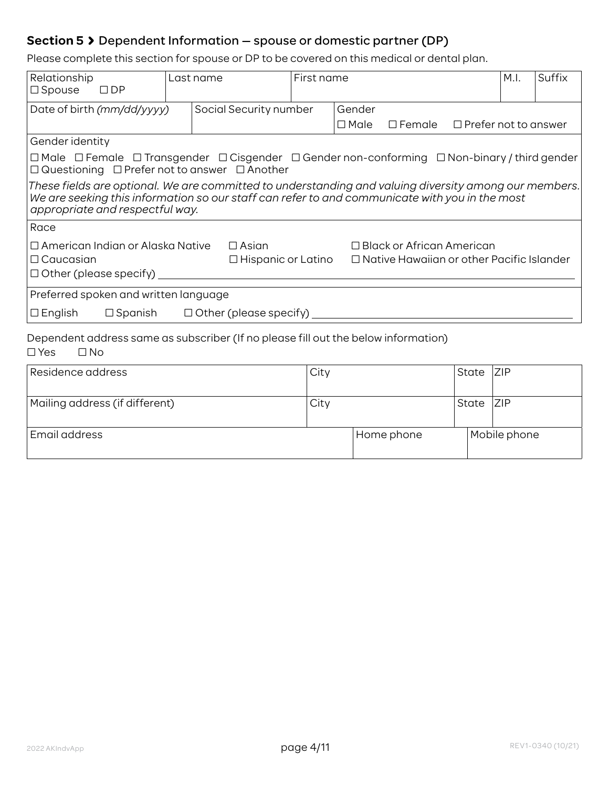# **Section 5** Dependent Information — spouse or domestic partner (DP)

Please complete this section for spouse or DP to be covered on this medical or dental plan.

| Relationship<br>$\Box$ Spouse<br>$\square$ DP                                                                                                                                                                                              |  | Last name                     | First name |             |                                                  |                             | M.I. | Suffix |
|--------------------------------------------------------------------------------------------------------------------------------------------------------------------------------------------------------------------------------------------|--|-------------------------------|------------|-------------|--------------------------------------------------|-----------------------------|------|--------|
| Date of birth (mm/dd/yyyy)                                                                                                                                                                                                                 |  | Social Security number        |            | Gender      |                                                  |                             |      |        |
|                                                                                                                                                                                                                                            |  |                               |            | $\Box$ Male | $\square$ Female                                 | $\Box$ Prefer not to answer |      |        |
| Gender identity                                                                                                                                                                                                                            |  |                               |            |             |                                                  |                             |      |        |
| $\Box$ Male $\Box$ Female $\Box$ Transgender $\Box$ Cisgender $\Box$ Gender non-conforming $\Box$ Non-binary / third gender<br>$\Box$ Questioning $\Box$ Prefer not to answer $\Box$ Another                                               |  |                               |            |             |                                                  |                             |      |        |
| These fields are optional. We are committed to understanding and valuing diversity among our members.<br>We are seeking this information so our staff can refer to and communicate with you in the most<br>appropriate and respectful way. |  |                               |            |             |                                                  |                             |      |        |
| Race                                                                                                                                                                                                                                       |  |                               |            |             |                                                  |                             |      |        |
| $\Box$ American Indian or Alaska Native                                                                                                                                                                                                    |  | $\Box$ Asian                  |            |             | $\Box$ Black or African American                 |                             |      |        |
| $\Box$ Caucasian                                                                                                                                                                                                                           |  | $\Box$ Hispanic or Latino     |            |             | $\Box$ Native Hawaiian or other Pacific Islander |                             |      |        |
| $\Box$ Other (please specify)                                                                                                                                                                                                              |  |                               |            |             |                                                  |                             |      |        |
| Preferred spoken and written language                                                                                                                                                                                                      |  |                               |            |             |                                                  |                             |      |        |
| $\Box$ Spanish<br>$\Box$ English                                                                                                                                                                                                           |  | $\Box$ Other (please specify) |            |             |                                                  |                             |      |        |
| Dependent address same as subscriber (If no please fill out the below information)<br>$\square$ No<br>$\Box$ Yes                                                                                                                           |  |                               |            |             |                                                  |                             |      |        |

| Residence address              | City |            | State | Z P          |
|--------------------------------|------|------------|-------|--------------|
| Mailing address (if different) | City |            | State | Z P          |
| Email address                  |      | Home phone |       | Mobile phone |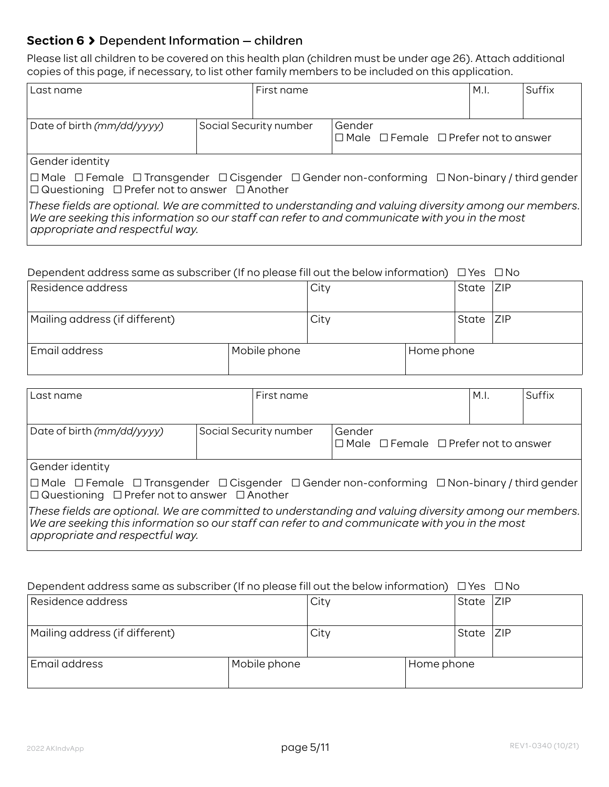## **Section 6** Dependent Information — children

Please list all children to be covered on this health plan (children must be under age 26). Attach additional copies of this page, if necessary, to list other family members to be included on this application.

| Last name                                                                                                                                                                                                                                  | First name             |                                                                 | M.I. | Suffix |
|--------------------------------------------------------------------------------------------------------------------------------------------------------------------------------------------------------------------------------------------|------------------------|-----------------------------------------------------------------|------|--------|
|                                                                                                                                                                                                                                            |                        |                                                                 |      |        |
| Date of birth (mm/dd/yyyy)                                                                                                                                                                                                                 | Social Security number | Gender<br>$\Box$ Male $\Box$ Female $\Box$ Prefer not to answer |      |        |
| Gender identity                                                                                                                                                                                                                            |                        |                                                                 |      |        |
| $\Box$ Male $\Box$ Female $\Box$ Transgender $\Box$ Cisgender $\Box$ Gender non-conforming $\Box$ Non-binary / third gender<br>$\Box$ Questioning $\Box$ Prefer not to answer $\Box$ Another                                               |                        |                                                                 |      |        |
| These fields are optional. We are committed to understanding and valuing diversity among our members.<br>We are seeking this information so our staff can refer to and communicate with you in the most<br>appropriate and respectful way. |                        |                                                                 |      |        |

#### Dependent address same as subscriber (If no please fill out the below information)  $\Box$  Yes  $\Box$  No

| Residence address              |              | City |            | State     | <b>ZIP</b> |
|--------------------------------|--------------|------|------------|-----------|------------|
| Mailing address (if different) |              | City |            | State ZIP |            |
| Email address                  | Mobile phone |      | Home phone |           |            |

| Last name                                                                                                                                                                                                                                  | First name             |                                                                 | M.I. | Suffix |
|--------------------------------------------------------------------------------------------------------------------------------------------------------------------------------------------------------------------------------------------|------------------------|-----------------------------------------------------------------|------|--------|
| Date of birth (mm/dd/yyyy)                                                                                                                                                                                                                 | Social Security number | Gender<br>$\Box$ Male $\Box$ Female $\Box$ Prefer not to answer |      |        |
| Gender identity                                                                                                                                                                                                                            |                        |                                                                 |      |        |
| $\Box$ Male $\Box$ Female $\Box$ Transgender $\Box$ Cisgender $\Box$ Gender non-conforming $\Box$ Non-binary / third gender<br>$\Box$ Questioning $\Box$ Prefer not to answer $\Box$ Another                                               |                        |                                                                 |      |        |
| These fields are optional. We are committed to understanding and valuing diversity among our members.<br>We are seeking this information so our staff can refer to and communicate with you in the most<br>appropriate and respectful way. |                        |                                                                 |      |        |

#### Dependent address same as subscriber (If no please fill out the below information)  $\Box$  Yes  $\Box$  No

| Residence address              |              | City |            | State | Z P |
|--------------------------------|--------------|------|------------|-------|-----|
| Mailing address (if different) |              | City |            | State | ZIP |
| Email address                  | Mobile phone |      | Home phone |       |     |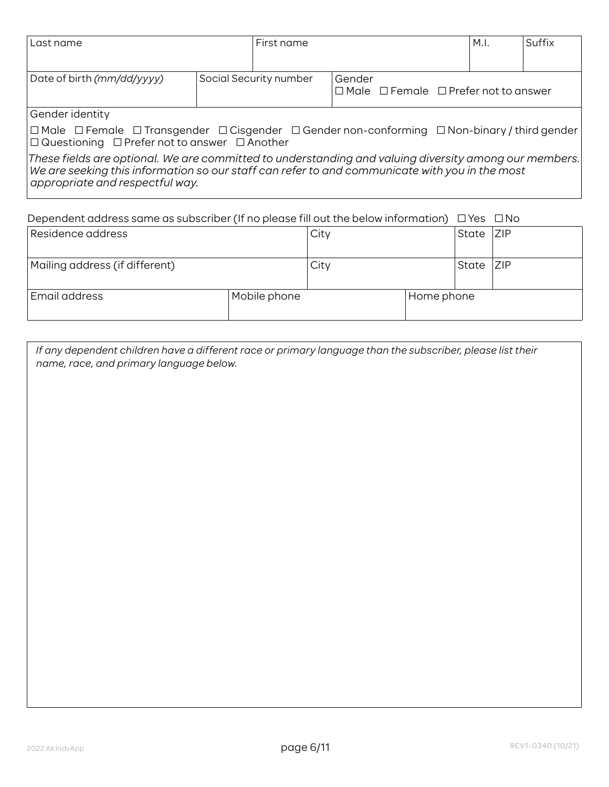| Last name                                                                                                                                                                                                                                      | First name             |        |                                                       | M.I. | Suffix |
|------------------------------------------------------------------------------------------------------------------------------------------------------------------------------------------------------------------------------------------------|------------------------|--------|-------------------------------------------------------|------|--------|
| Date of birth (mm/dd/yyyy)                                                                                                                                                                                                                     | Social Security number | Gender | $\Box$ Male $\Box$ Female $\Box$ Prefer not to answer |      |        |
| Gender identity                                                                                                                                                                                                                                |                        |        |                                                       |      |        |
| $\Box$ Male $\Box$ Female $\Box$ Transgender $\Box$ Cisgender $\Box$ Gender non-conforming $\Box$ Non-binary / third gender $\vert$<br>$\Box$ Questioning $\Box$ Prefer not to answer $\Box$ Another                                           |                        |        |                                                       |      |        |
| These fields are optional. We are committed to understanding and valuing diversity among our members.<br>$ $ We are seeking this information so our staff can refer to and communicate with you in the most<br>appropriate and respectful way. |                        |        |                                                       |      |        |

| Dependent address same as subscriber (If no please fill out the below information) $\Box$ Yes $\Box$ No |  |  |  |
|---------------------------------------------------------------------------------------------------------|--|--|--|
|                                                                                                         |  |  |  |
|                                                                                                         |  |  |  |

| Residence address              |              | City |            | State | <b>ZIP</b> |
|--------------------------------|--------------|------|------------|-------|------------|
| Mailing address (if different) |              | City |            | State | Z P        |
| Email address                  | Mobile phone |      | Home phone |       |            |

*If any dependent children have a different race or primary language than the subscriber, please list their name, race, and primary language below.*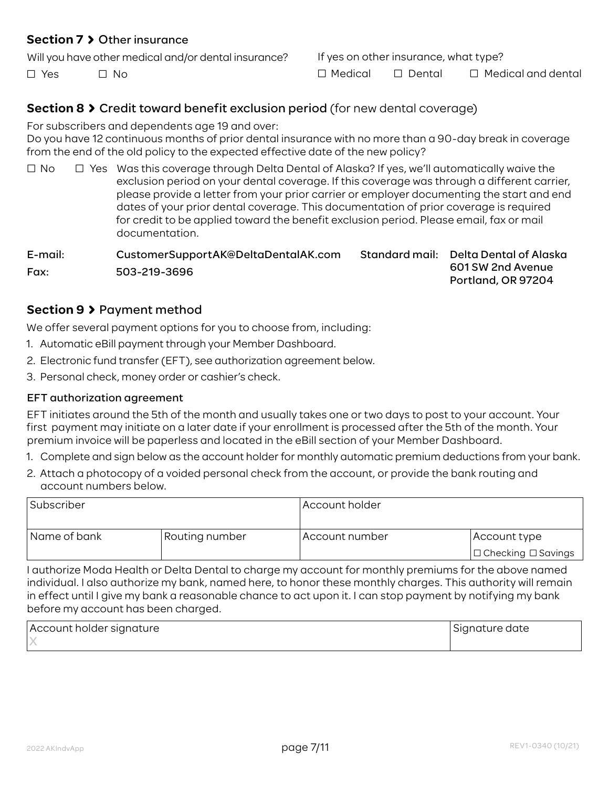#### **Section 7** Other insurance

Will you have other medical and/or dental insurance?

 $\Box$  Yes  $\Box$  No.

If yes on other insurance, what type?  $\Box$  Medical  $\Box$  Dental  $\Box$  Medical and dental

## **Section 8 > Credit toward benefit exclusion period (for new dental coverage)**

For subscribers and dependents age 19 and over:

Do you have 12 continuous months of prior dental insurance with no more than a 90-day break in coverage from the end of the old policy to the expected effective date of the new policy?

 $\Box$  No  $\Box$  Yes Was this coverage through Delta Dental of Alaska? If yes, we'll automatically waive the exclusion period on your dental coverage. If this coverage was through a different carrier, please provide a letter from your prior carrier or employer documenting the start and end dates of your prior dental coverage. This documentation of prior coverage is required for credit to be applied toward the benefit exclusion period. Please email, fax or mail documentation.

E-mail: CustomerSupportAK@DeltaDentalAK.com Fax: 503-219-3696 Standard mail: Delta Dental of Alaska 601 SW 2nd Avenue Portland, OR 97204

#### **Section 9** Payment method

We offer several payment options for you to choose from, including:

- 1. Automatic eBill payment through your Member Dashboard.
- 2. Electronic fund transfer (EFT), see authorization agreement below.
- 3. Personal check, money order or cashier's check.

#### EFT authorization agreement

EFT initiates around the 5th of the month and usually takes one or two days to post to your account. Your first payment may initiate on a later date if your enrollment is processed after the 5th of the month. Your premium invoice will be paperless and located in the eBill section of your Member Dashboard.

- 1. Complete and sign below as the account holder for monthly automatic premium deductions from your bank.
- 2. Attach a photocopy of a voided personal check from the account, or provide the bank routing and account numbers below.

| Subscriber   |                | Account holder |                                |  |  |  |
|--------------|----------------|----------------|--------------------------------|--|--|--|
| Name of bank | Routing number | Account number | Account type                   |  |  |  |
|              |                |                | $\Box$ Checking $\Box$ Savings |  |  |  |

I authorize Moda Health or Delta Dental to charge my account for monthly premiums for the above named individual. I also authorize my bank, named here, to honor these monthly charges. This authority will remain in effect until I give my bank a reasonable chance to act upon it. I can stop payment by notifying my bank before my account has been charged.

| Account holder signature | Signature date |
|--------------------------|----------------|
|                          |                |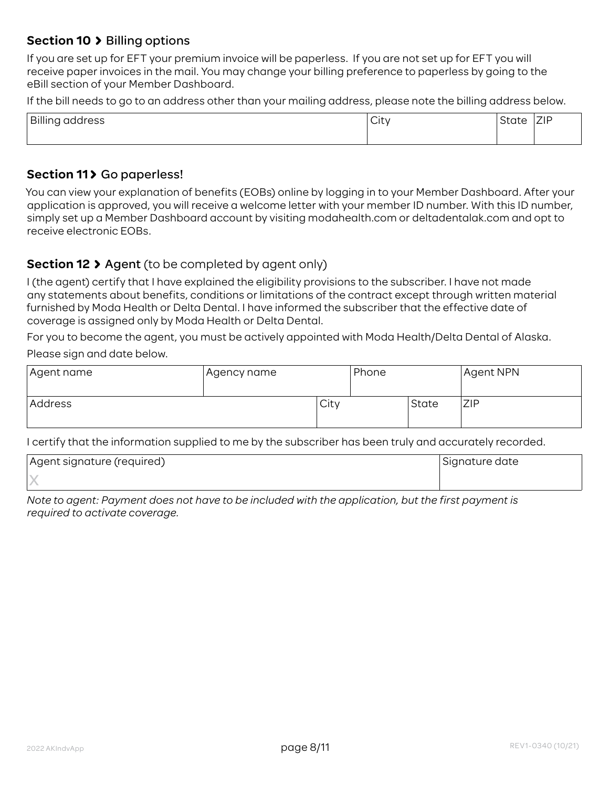#### **Section 10 > Billing options**

If you are set up for EFT your premium invoice will be paperless. If you are not set up for EFT you will receive paper invoices in the mail. You may change your billing preference to paperless by going to the eBill section of your Member Dashboard.

If the bill needs to go to an address other than your mailing address, please note the billing address below.

| Billing<br>address | <u>.</u><br>٦Ħ٦.<br>いい<br>$\sim$ | ∽ | 7IP |
|--------------------|----------------------------------|---|-----|
|                    |                                  |   |     |

#### **Section 11> Go paperless!**

You can view your explanation of benefits (EOBs) online by logging in to your Member Dashboard. After your application is approved, you will receive a welcome letter with your member ID number. With this ID number, simply set up a Member Dashboard account by visiting modahealth.com or deltadentalak.com and opt to receive electronic EOBs.

#### **Section 12 > Agent** (to be completed by agent only)

I (the agent) certify that I have explained the eligibility provisions to the subscriber. I have not made any statements about benefits, conditions or limitations of the contract except through written material furnished by Moda Health or Delta Dental. I have informed the subscriber that the effective date of coverage is assigned only by Moda Health or Delta Dental.

For you to become the agent, you must be actively appointed with Moda Health/Delta Dental of Alaska. Please sign and date below.

| Agent name | Agency name |      | Phone |       | Agent NPN |
|------------|-------------|------|-------|-------|-----------|
| Address    |             | City |       | State | ZIP       |

I certify that the information supplied to me by the subscriber has been truly and accurately recorded.

| Agent signature (required) | Signature date |
|----------------------------|----------------|
|                            |                |

*Note to agent: Payment does not have to be included with the application, but the first payment is required to activate coverage.*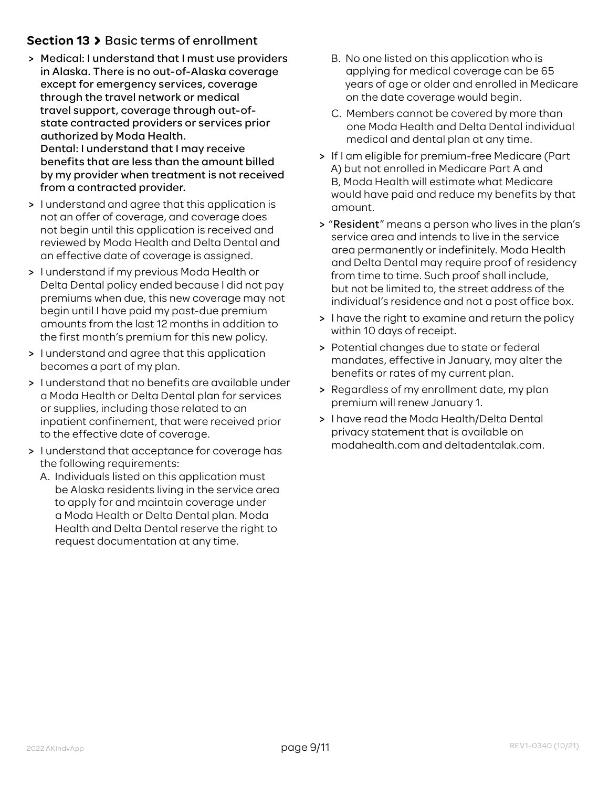# **Section 13 > Basic terms of enrollment**

- > Medical: I understand that I must use providers in Alaska. There is no out-of-Alaska coverage except for emergency services, coverage through the travel network or medical travel support, coverage through out-ofstate contracted providers or services prior authorized by Moda Health. Dental: I understand that I may receive benefits that are less than the amount billed by my provider when treatment is not received from a contracted provider.
- > I understand and agree that this application is not an offer of coverage, and coverage does not begin until this application is received and reviewed by Moda Health and Delta Dental and an effective date of coverage is assigned.
- > I understand if my previous Moda Health or Delta Dental policy ended because I did not pay premiums when due, this new coverage may not begin until I have paid my past-due premium amounts from the last 12 months in addition to the first month's premium for this new policy.
- > I understand and agree that this application becomes a part of my plan.
- > I understand that no benefits are available under a Moda Health or Delta Dental plan for services or supplies, including those related to an inpatient confinement, that were received prior to the effective date of coverage.
- > I understand that acceptance for coverage has the following requirements:
	- A. Individuals listed on this application must be Alaska residents living in the service area to apply for and maintain coverage under a Moda Health or Delta Dental plan. Moda Health and Delta Dental reserve the right to request documentation at any time.
- B. No one listed on this application who is applying for medical coverage can be 65 years of age or older and enrolled in Medicare on the date coverage would begin.
- C. Members cannot be covered by more than one Moda Health and Delta Dental individual medical and dental plan at any time.
- > If I am eligible for premium-free Medicare (Part A) but not enrolled in Medicare Part A and B, Moda Health will estimate what Medicare would have paid and reduce my benefits by that amount.
- > "Resident" means a person who lives in the plan's service area and intends to live in the service area permanently or indefinitely. Moda Health and Delta Dental may require proof of residency from time to time. Such proof shall include, but not be limited to, the street address of the individual's residence and not a post office box.
- > I have the right to examine and return the policy within 10 days of receipt.
- > Potential changes due to state or federal mandates, effective in January, may alter the benefits or rates of my current plan.
- > Regardless of my enrollment date, my plan premium will renew January 1.
- > I have read the Moda Health/Delta Dental privacy statement that is available on modahealth.com and deltadentalak.com.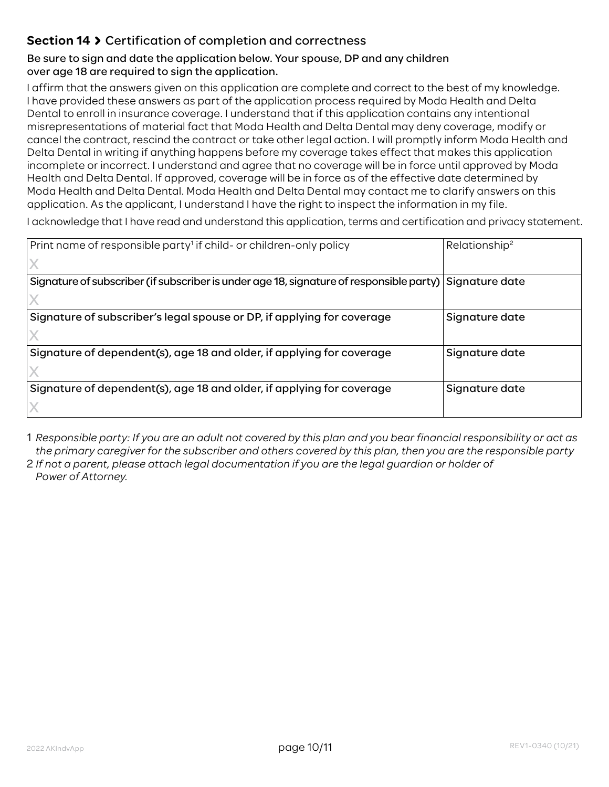# **Section 14** Certification of completion and correctness

#### Be sure to sign and date the application below. Your spouse, DP and any children over age 18 are required to sign the application.

I affirm that the answers given on this application are complete and correct to the best of my knowledge. I have provided these answers as part of the application process required by Moda Health and Delta Dental to enroll in insurance coverage. I understand that if this application contains any intentional misrepresentations of material fact that Moda Health and Delta Dental may deny coverage, modify or cancel the contract, rescind the contract or take other legal action. I will promptly inform Moda Health and Delta Dental in writing if anything happens before my coverage takes effect that makes this application incomplete or incorrect. I understand and agree that no coverage will be in force until approved by Moda Health and Delta Dental. If approved, coverage will be in force as of the effective date determined by Moda Health and Delta Dental. Moda Health and Delta Dental may contact me to clarify answers on this application. As the applicant, I understand I have the right to inspect the information in my file.

I acknowledge that I have read and understand this application, terms and certification and privacy statement.

| Print name of responsible party <sup>1</sup> if child- or children-only policy                           | Relationship <sup>2</sup> |
|----------------------------------------------------------------------------------------------------------|---------------------------|
|                                                                                                          |                           |
| Signature of subscriber (if subscriber is under age 18, signature of responsible party)   Signature date |                           |
|                                                                                                          |                           |
| Signature of subscriber's legal spouse or DP, if applying for coverage                                   | Signature date            |
|                                                                                                          |                           |
| Signature of dependent(s), age 18 and older, if applying for coverage                                    | Signature date            |
|                                                                                                          |                           |
| Signature of dependent(s), age 18 and older, if applying for coverage                                    | Signature date            |
|                                                                                                          |                           |

1 *Responsible party: If you are an adult not covered by this plan and you bear financial responsibility or act as the primary caregiver for the subscriber and others covered by this plan, then you are the responsible party*

2 *If not a parent, please attach legal documentation if you are the legal guardian or holder of Power of Attorney.*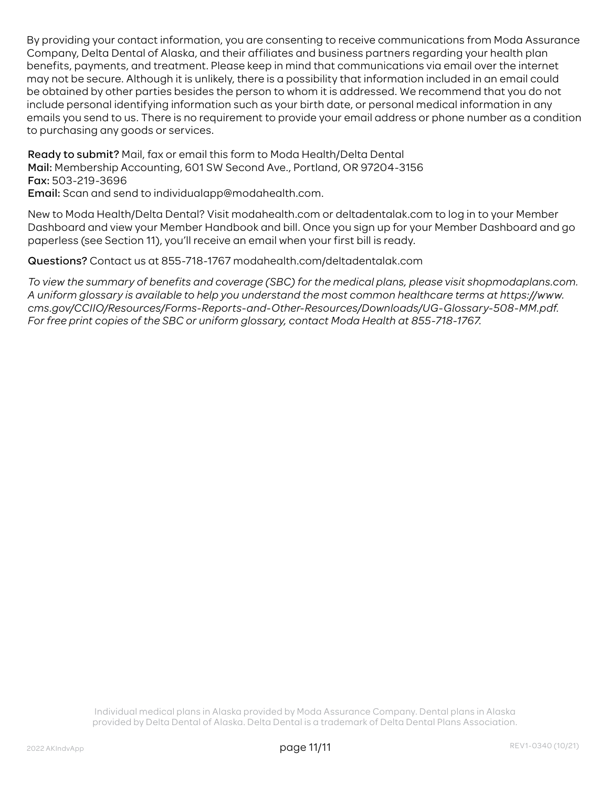By providing your contact information, you are consenting to receive communications from Moda Assurance Company, Delta Dental of Alaska, and their affiliates and business partners regarding your health plan benefits, payments, and treatment. Please keep in mind that communications via email over the internet may not be secure. Although it is unlikely, there is a possibility that information included in an email could be obtained by other parties besides the person to whom it is addressed. We recommend that you do not include personal identifying information such as your birth date, or personal medical information in any emails you send to us. There is no requirement to provide your email address or phone number as a condition to purchasing any goods or services.

Ready to submit? Mail, fax or email this form to Moda Health/Delta Dental Mail: Membership Accounting, 601 SW Second Ave., Portland, OR 97204-3156 Fax: 503-219-3696

Email: Scan and send to individualapp@modahealth.com.

New to Moda Health/Delta Dental? Visit modahealth.com or deltadentalak.com to log in to your Member Dashboard and view your Member Handbook and bill. Once you sign up for your Member Dashboard and go paperless (see Section 11), you'll receive an email when your first bill is ready.

Questions? Contact us at 855-718-1767 modahealth.com/deltadentalak.com

*To view the summary of benefits and coverage (SBC) for the medical plans, please visit shopmodaplans.com. A uniform glossary is available to help you understand the most common healthcare terms at https://www. cms.gov/CCIIO/Resources/Forms-Reports-and-Other-Resources/Downloads/UG-Glossary-508-MM.pdf. For free print copies of the SBC or uniform glossary, contact Moda Health at 855-718-1767.*

> Individual medical plans in Alaska provided by Moda Assurance Company. Dental plans in Alaska provided by Delta Dental of Alaska. Delta Dental is a trademark of Delta Dental Plans Association.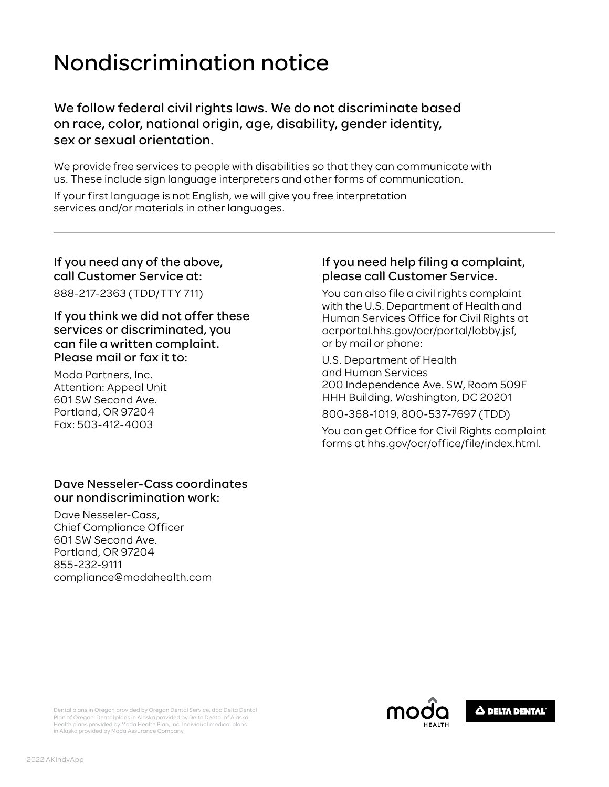# Nondiscrimination notice

We follow federal civil rights laws. We do not discriminate based on race, color, national origin, age, disability, gender identity, sex or sexual orientation.

We provide free services to people with disabilities so that they can communicate with us. These include sign language interpreters and other forms of communication.

If your first language is not English, we will give you free interpretation services and/or materials in other languages.

#### If you need any of the above, call Customer Service at:

888-217-2363 (TDD/TTY 711)

If you think we did not offer these services or discriminated, you can file a written complaint. Please mail or fax it to:

Moda Partners, Inc. Attention: Appeal Unit 601 SW Second Ave. Portland, OR 97204 Fax: 503-412-4003

#### Dave Nesseler-Cass coordinates our nondiscrimination work:

Dave Nesseler-Cass, Chief Compliance Officer 601 SW Second Ave. Portland, OR 97204 855-232-9111 compliance@modahealth.com

#### If you need help filing a complaint, please call Customer Service.

You can also file a civil rights complaint with the U.S. Department of Health and Human Services Office for Civil Rights at ocrportal.hhs.gov/ocr/portal/lobby.jsf, or by mail or phone:

U.S. Department of Health and Human Services 200 Independence Ave. SW, Room 509F HHH Building, Washington, DC 20201

800-368-1019, 800-537-7697 (TDD)

You can get Office for Civil Rights complaint forms at hhs.gov/ocr/office/file/index.html.





Dental plans in Oregon provided by Oregon Dental Service, dba Delta Dental Plan of Oregon. Dental plans in Alaska provided by Delta Dental of Alaska. Health plans provided by Moda Health Plan, Inc. Individual medical plans in Alaska provided by Moda Assurance Company.